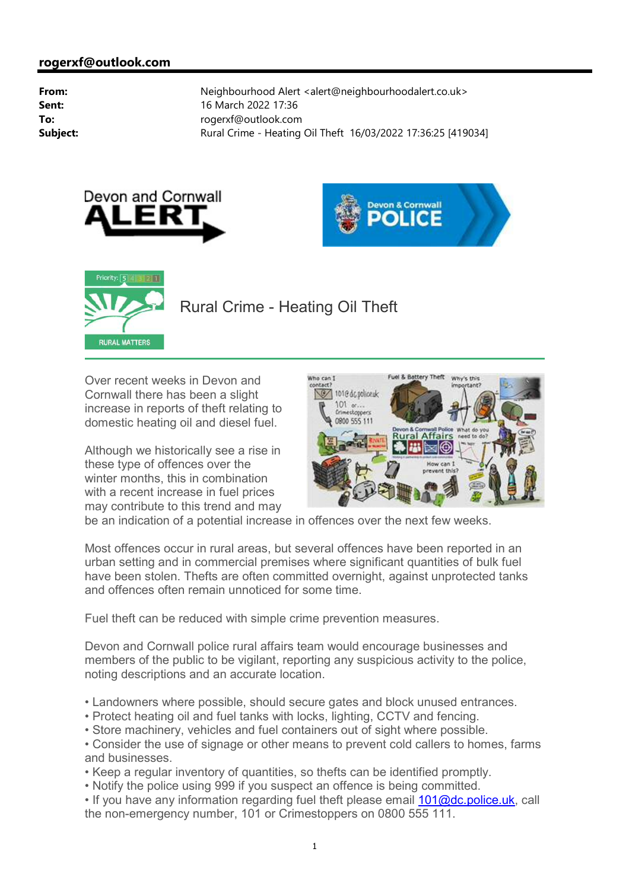





## Rural Crime - Heating Oil Theft

Over recent weeks in Devon and Cornwall there has been a slight increase in reports of theft relating to domestic heating oil and diesel fuel.

Although we historically see a rise in these type of offences over the winter months, this in combination with a recent increase in fuel prices may contribute to this trend and may



be an indication of a potential increase in offences over the next few weeks.

Most offences occur in rural areas, but several offences have been reported in an urban setting and in commercial premises where significant quantities of bulk fuel have been stolen. Thefts are often committed overnight, against unprotected tanks and offences often remain unnoticed for some time.

Fuel theft can be reduced with simple crime prevention measures.

Devon and Cornwall police rural affairs team would encourage businesses and members of the public to be vigilant, reporting any suspicious activity to the police, noting descriptions and an accurate location.

- Landowners where possible, should secure gates and block unused entrances.
- Protect heating oil and fuel tanks with locks, lighting, CCTV and fencing.
- Store machinery, vehicles and fuel containers out of sight where possible.
- Consider the use of signage or other means to prevent cold callers to homes, farms and businesses.
- Keep a regular inventory of quantities, so thefts can be identified promptly.
- Notify the police using 999 if you suspect an offence is being committed.
- If you have any information regarding fuel theft please email 101@dc.police.uk, call the non-emergency number, 101 or Crimestoppers on 0800 555 111.